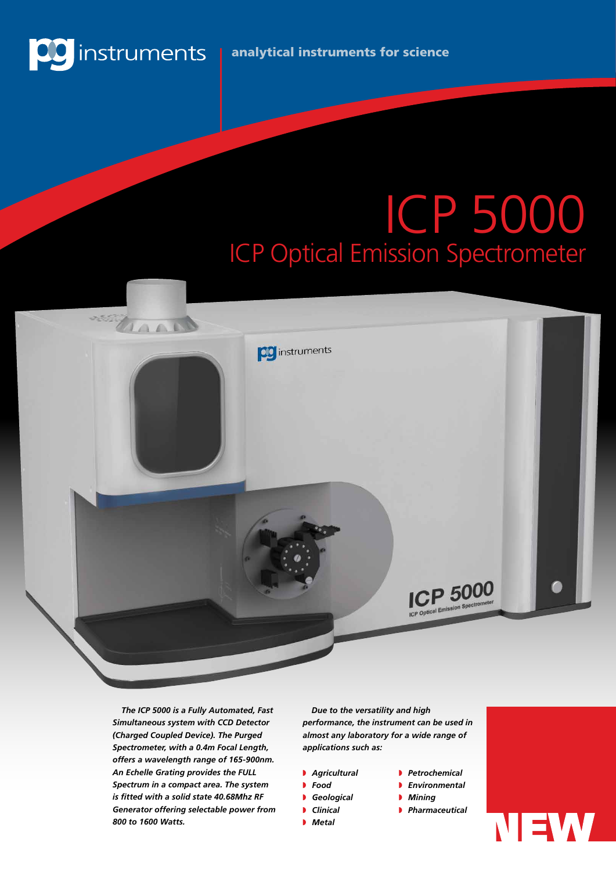

# ICP 5000 ICP Optical Emission Spectrometer



*The ICP 5000 is a Fully Automated, Fast Simultaneous system with CCD Detector (Charged Coupled Device). The Purged Spectrometer, with a 0.4m Focal Length, offers a wavelength range of 165-900nm. An Echelle Grating provides the FULL Spectrum in a compact area. The system is fitted with a solid state 40.68Mhz RF Generator offering selectable power from 800 to 1600 Watts.*

*Due to the versatility and high performance, the instrument can be used in almost any laboratory for a wide range of applications such as:*

- **Agricultural**
- **P** Food
- **Geological**
- **D** Clinical
- **Metal**

**B** *Environmental* **Mining** 

**P** *Petrochemical* 

- **Pharmaceutical**
- NEW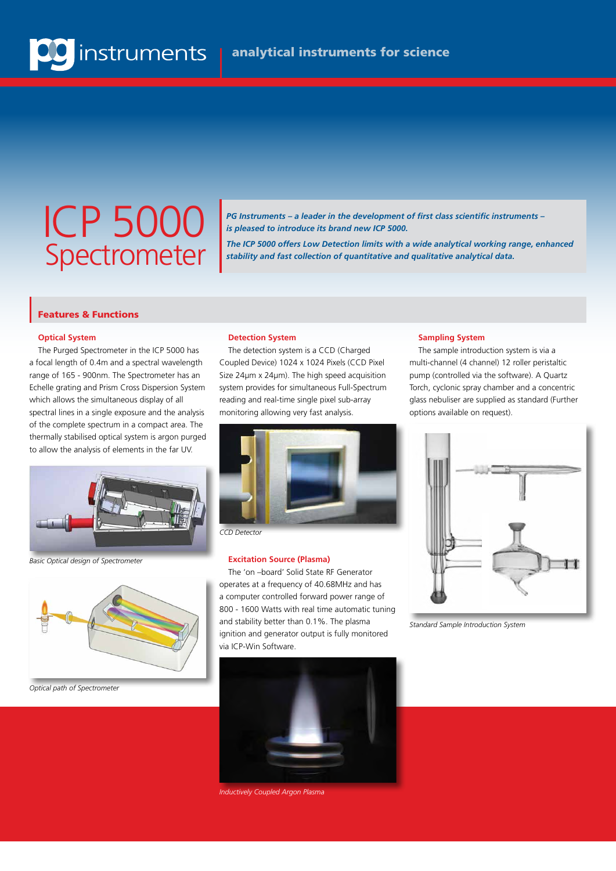## ICP 5000 Spectrometer

*PG Instruments – a leader in the development of first class scientific instruments – is pleased to introduce its brand new ICP 5000.*

*The ICP 5000 offers Low Detection limits with a wide analytical working range, enhanced stability and fast collection of quantitative and qualitative analytical data.* 

#### Features & Functions

#### **Optical System**

The Purged Spectrometer in the ICP 5000 has a focal length of 0.4m and a spectral wavelength range of 165 - 900nm. The Spectrometer has an Echelle grating and Prism Cross Dispersion System which allows the simultaneous display of all spectral lines in a single exposure and the analysis of the complete spectrum in a compact area. The thermally stabilised optical system is argon purged to allow the analysis of elements in the far UV.



*Basic Optical design of Spectrometer*



*Optical path of Spectrometer*

#### **Detection System**

The detection system is a CCD (Charged Coupled Device) 1024 x 1024 Pixels (CCD Pixel Size 24µm x 24µm). The high speed acquisition system provides for simultaneous Full-Spectrum reading and real-time single pixel sub-array monitoring allowing very fast analysis.



*CCD Detector*

#### **Excitation Source (Plasma)**

The 'on –board' Solid State RF Generator operates at a frequency of 40.68MHz and has a computer controlled forward power range of 800 - 1600 Watts with real time automatic tuning and stability better than 0.1%. The plasma ignition and generator output is fully monitored via ICP-Win Software.



*Inductively Coupled Argon Plasma*

#### **Sampling System**

The sample introduction system is via a multi-channel (4 channel) 12 roller peristaltic pump (controlled via the software). A Quartz Torch, cyclonic spray chamber and a concentric glass nebuliser are supplied as standard (Further options available on request).



*Standard Sample Introduction System*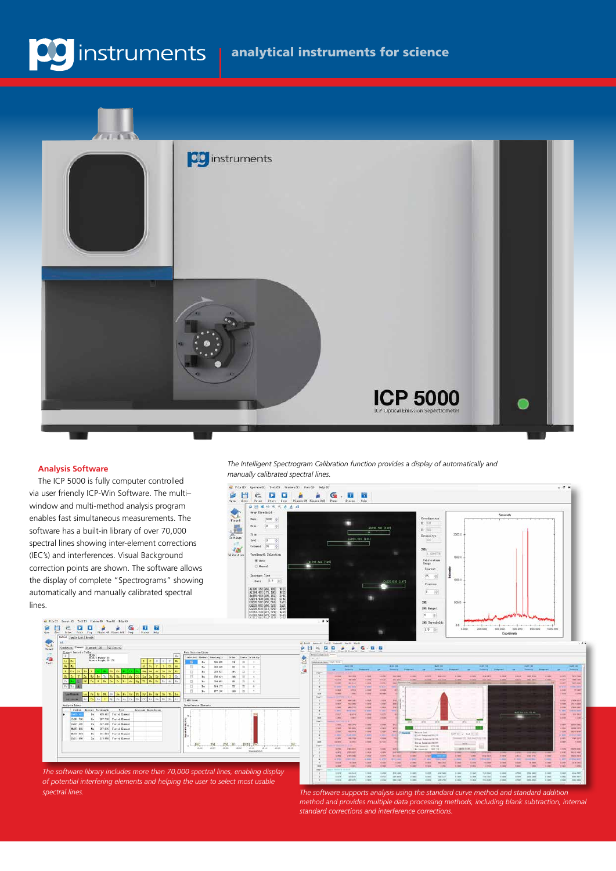



#### **Analysis Software**

日目

秃

 $rac{d\mathbf{r}}{d\mathbf{r}}$ 

0-201-116<br>0-201-316<br>0-201-616<br>0-211-016 \* \* \* \* \*

The ICP 5000 is fully computer controlled via user friendly ICP-Win Software. The multi– window and multi-method analysis program enables fast simultaneous measurements. The software has a built-in library of over 70,000 spectral lines showing inter-element corrections (IEC's) and interferences. Visual Background correction points are shown. The software allows the display of complete "Spectrograms" showing automatically and manually calibrated spectral lines.

*The Intelligent Spectrogram Calibration function provides a display of automatically and manually calibrated spectral lines.*



 $\frac{1.078}{1.078}$  $\begin{array}{r} 1398.845 \\ 1398.8492 \\ \end{array}$  $rac{1}{1.000}$  $\begin{array}{c} 1.039 \\ 0.014 \end{array}$  $rac{1}{2}$  $\frac{1.08}{1.08}$  $\frac{100}{100}$  $\begin{array}{r} 4560000 \\ 0.000000 \\ 0.0000000 \\ \end{array}$  $\frac{1}{100}$  $\frac{1}{100}$  $\begin{array}{r} 1/8.94 \\ \hline 193.96 \end{array}$  $\frac{1}{100}$  $\frac{1}{100}$  $\frac{m}{2m}\frac{\mu\pi}{2m}$  $\begin{array}{c} 1.001 \\ 1.004 \end{array}$ 

*The software library includes more than 70,000 spectral lines, enabling display of potential interfering elements and helping the user to select most usable spectral lines. The software supports analysis using the standard curve method and standard addition* 

*method and provides multiple data processing methods, including blank subtraction, internal standard corrections and interference corrections.*

 $\begin{array}{|c|c|c|c|c|} \hline \text{tan} & \text{cos} & \text{sin} \\ \hline \text{cos} & \text{cos} & \text{cos} \end{array}$